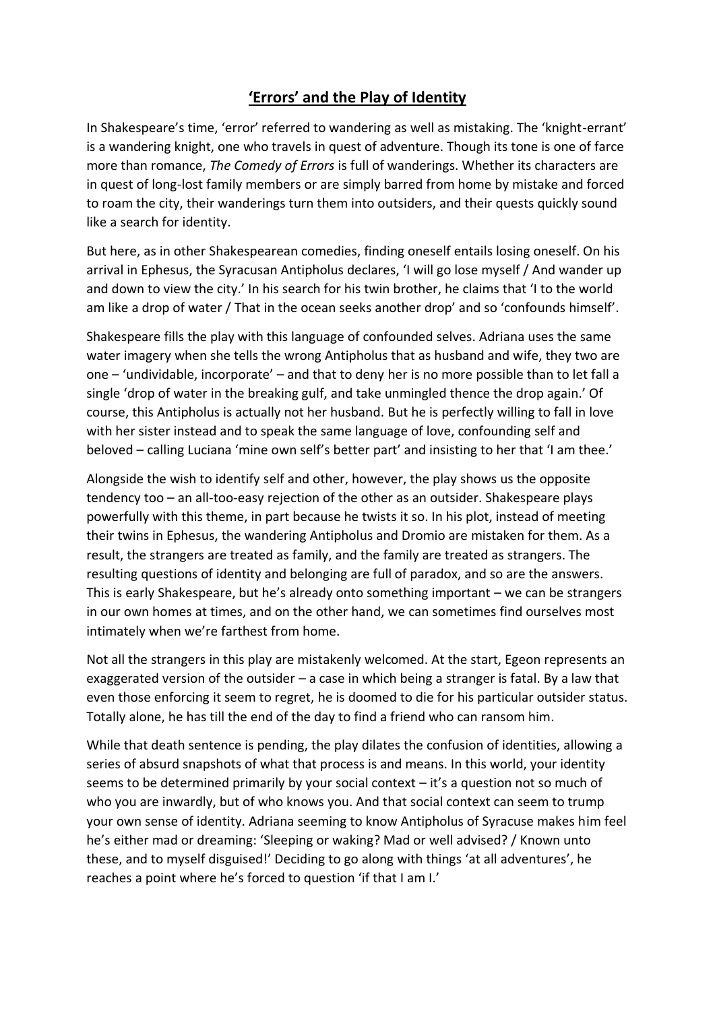## **'Errors' and the Play of Identity**

In Shakespeare's time, 'error' referred to wandering as well as mistaking. The 'knight-errant' is a wandering knight, one who travels in quest of adventure. Though its tone is one of farce more than romance, *The Comedy of Errors* is full of wanderings. Whether its characters are in quest of long-lost family members or are simply barred from home by mistake and forced to roam the city, their wanderings turn them into outsiders, and their quests quickly sound like a search for identity.

But here, as in other Shakespearean comedies, finding oneself entails losing oneself. On his arrival in Ephesus, the Syracusan Antipholus declares, 'I will go lose myself / And wander up and down to view the city.' In his search for his twin brother, he claims that 'I to the world am like a drop of water / That in the ocean seeks another drop' and so 'confounds himself'.

Shakespeare fills the play with this language of confounded selves. Adriana uses the same water imagery when she tells the wrong Antipholus that as husband and wife, they two are one – 'undividable, incorporate' – and that to deny her is no more possible than to let fall a single 'drop of water in the breaking gulf, and take unmingled thence the drop again.' Of course, this Antipholus is actually not her husband. But he is perfectly willing to fall in love with her sister instead and to speak the same language of love, confounding self and beloved – calling Luciana 'mine own self's better part' and insisting to her that 'I am thee.'

Alongside the wish to identify self and other, however, the play shows us the opposite tendency too – an all-too-easy rejection of the other as an outsider. Shakespeare plays powerfully with this theme, in part because he twists it so. In his plot, instead of meeting their twins in Ephesus, the wandering Antipholus and Dromio are mistaken for them. As a result, the strangers are treated as family, and the family are treated as strangers. The resulting questions of identity and belonging are full of paradox, and so are the answers. This is early Shakespeare, but he's already onto something important – we can be strangers in our own homes at times, and on the other hand, we can sometimes find ourselves most intimately when we're farthest from home.

Not all the strangers in this play are mistakenly welcomed. At the start, Egeon represents an exaggerated version of the outsider – a case in which being a stranger is fatal. By a law that even those enforcing it seem to regret, he is doomed to die for his particular outsider status. Totally alone, he has till the end of the day to find a friend who can ransom him.

While that death sentence is pending, the play dilates the confusion of identities, allowing a series of absurd snapshots of what that process is and means. In this world, your identity seems to be determined primarily by your social context – it's a question not so much of who you are inwardly, but of who knows you. And that social context can seem to trump your own sense of identity. Adriana seeming to know Antipholus of Syracuse makes him feel he's either mad or dreaming: 'Sleeping or waking? Mad or well advised? / Known unto these, and to myself disguised!' Deciding to go along with things 'at all adventures', he reaches a point where he's forced to question 'if that I am I.'